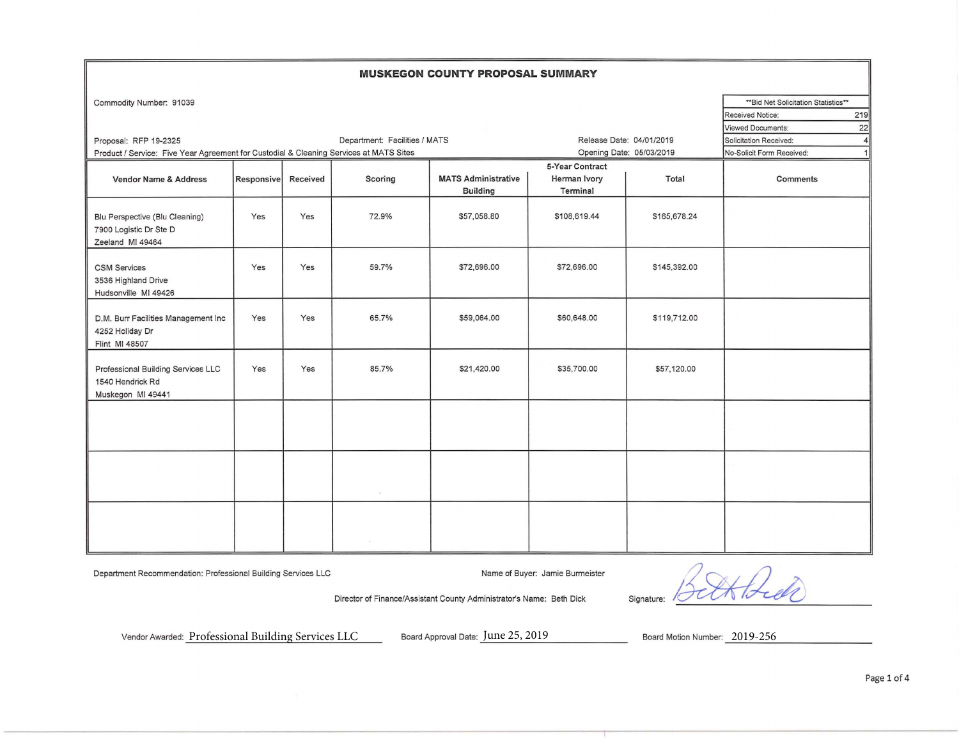## **MUSKEGON COUNTY PROPOSAL SUMMARY**  Commodity Number: 91039 **According to the Solicitation Statistics\*\*** Bid Net Solicitation Statistics\*\* **Received Notice:** 219 Viewed Documents: 22 Proposal: RFP 19-2325 **Department: Facilities / MATS** Release Date: 04/01/2019 Solicitation Received: 4 Product / Service: Five Year Agreement for Custodial & Cleaning Services at MATS Sites **Case Access Concretived:** Opening Date: 05/03/2019 No-Solicit Form Received: 5-Year Contract Vendor Name & Address Responsive Received Scoring MATS Administrative Herman Ivory Total Total Comments Building Terminal Blu Perspective (Blu Cleaning) | Yes | Yes | 72.9% | \$57,058.80 \$108,619.44 | \$165,678.24 7900 Logistic Dr Ste D Zeeland Ml 49464 CSM Services | Yes | Yes | 59.7% | \$72,696.00 | \$72,696.00 | \$145,392.00 3536 Highland Drive Hudsonville Ml 49426 D.M. Burr Facilities Management Inc | Yes | Yes | 65.7% | \$59,064.00 | \$60,648.00 | \$119,712.00 4252 Holiday Dr Flint Ml 48507 Professional Building Services LLC | Yes | Yes | 85.7% | \$21,420.00 | \$35,700.00 | \$57,120.00 1540 Hendrick Rd Muskegon Ml 49441

Department Recommendation: Professional Building Services LLC Name of Buyer: Jamie Burmeister

Abbid

Director of Finance/Assistant County Administrator's Name: Beth Dick Signature:

Vendor Awarded: Professional Building Services LLC Board Approval Date: June 25, 2019 Board Motion Number: 2019-256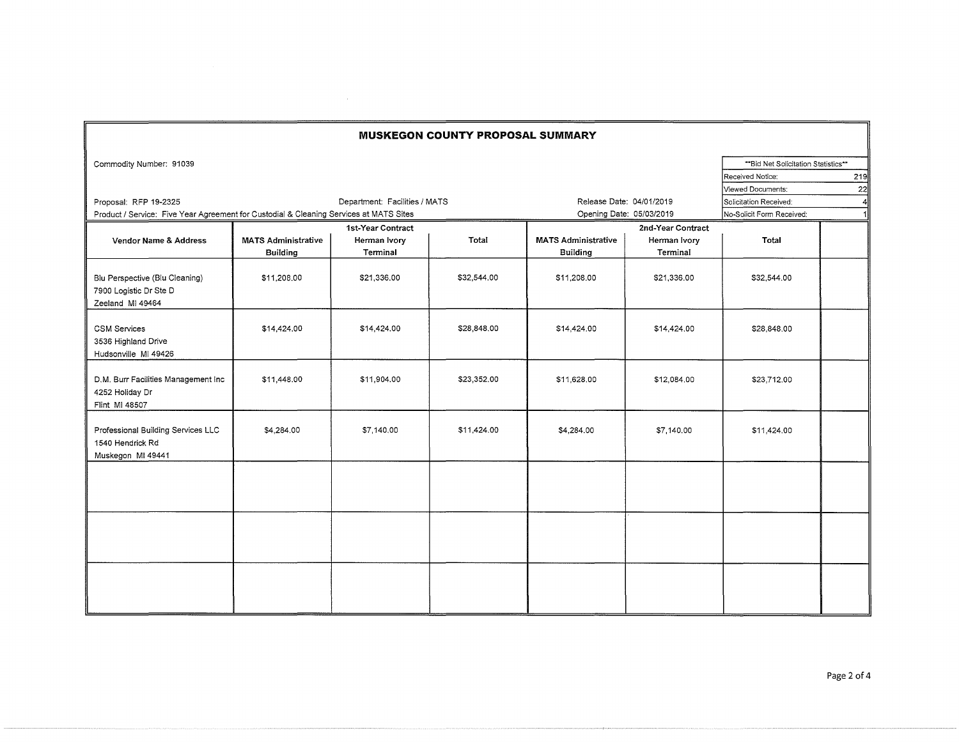| <b>MUSKEGON COUNTY PROPOSAL SUMMARY</b>                                                |                            |                               |             |                            |              |                                      |     |
|----------------------------------------------------------------------------------------|----------------------------|-------------------------------|-------------|----------------------------|--------------|--------------------------------------|-----|
| Commodity Number: 91039                                                                |                            |                               |             |                            |              | ** Bid Net Solicitation Statistics** |     |
|                                                                                        |                            |                               |             |                            |              | Received Notice:                     | 219 |
|                                                                                        |                            |                               |             |                            |              | Viewed Documents:                    | 22  |
| Proposal: RFP 19-2325                                                                  |                            | Department: Facilities / MATS |             | Release Date: 04/01/2019   |              | Solicitation Received:               |     |
| Product / Service: Five Year Agreement for Custodial & Cleaning Services at MATS Sites |                            |                               |             | Opening Date: 05/03/2019   |              | No-Solicit Form Received:            |     |
|                                                                                        | 1st-Year Contract          |                               |             | 2nd-Year Contract          |              |                                      |     |
| Vendor Name & Address                                                                  | <b>MATS Administrative</b> | Herman Ivory                  | Total       | <b>MATS Administrative</b> | Herman Ivory | Total                                |     |
|                                                                                        | <b>Building</b>            | Terminal                      |             | <b>Building</b>            | Terminal     |                                      |     |
| Blu Perspective (Blu Cleaning)<br>7900 Logistic Dr Ste D<br>Zeeland MI 49464           | \$11,208.00                | \$21,336.00                   | \$32,544.00 | \$11,208.00                | \$21,336.00  | \$32,544.00                          |     |
| <b>CSM Services</b><br>3536 Highland Drive<br>Hudsonville MI 49426                     | \$14,424.00                | \$14,424.00                   | \$28,848.00 | \$14,424.00                | \$14,424.00  | \$28,848.00                          |     |
| D.M. Burr Facilities Management Inc<br>4252 Holiday Dr<br>Flint MI 48507               | \$11,448.00                | \$11,904.00                   | \$23,352.00 | \$11,628.00                | \$12,084.00  | \$23,712.00                          |     |
| Professional Building Services LLC<br>1540 Hendrick Rd<br>Muskegon MI 49441            | \$4,284.00                 | \$7,140.00                    | \$11,424.00 | \$4,284.00                 | \$7,140.00   | \$11,424.00                          |     |
|                                                                                        |                            |                               |             |                            |              |                                      |     |
|                                                                                        |                            |                               |             |                            |              |                                      |     |
|                                                                                        |                            |                               |             |                            |              |                                      |     |

 $\sim$   $\sim$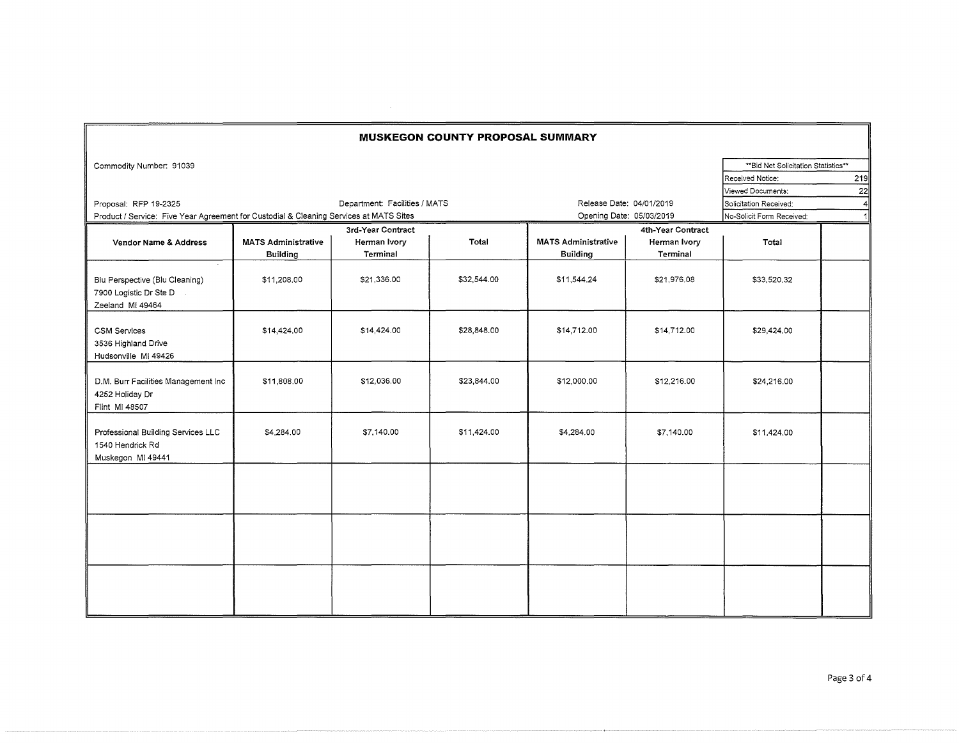| <b>MUSKEGON COUNTY PROPOSAL SUMMARY</b>                                      |                                                                                        |                          |             |                                               |                          |                                      |     |
|------------------------------------------------------------------------------|----------------------------------------------------------------------------------------|--------------------------|-------------|-----------------------------------------------|--------------------------|--------------------------------------|-----|
| Commodity Number: 91039                                                      |                                                                                        |                          |             |                                               |                          | ** Bid Net Solicitation Statistics** |     |
|                                                                              |                                                                                        |                          |             |                                               |                          | Received Notice:                     | 219 |
|                                                                              |                                                                                        |                          |             |                                               |                          | Viewed Documents:                    | 22  |
| Department: Facilities / MATS<br>Proposal: RFP 19-2325                       |                                                                                        |                          |             | Release Date: 04/01/2019                      |                          | Solicitation Received:               |     |
|                                                                              | Product / Service: Five Year Agreement for Custodial & Cleaning Services at MATS Sites |                          |             | Opening Date: 05/03/2019                      |                          | No-Solicit Form Received:            |     |
|                                                                              | 3rd-Year Contract                                                                      |                          |             | 4th-Year Contract                             |                          |                                      |     |
| Vendor Name & Address                                                        | <b>MATS Administrative</b><br><b>Building</b>                                          | Herman Ivory<br>Terminal | Total       | <b>MATS Administrative</b><br><b>Building</b> | Herman Ivory<br>Terminal | Total                                |     |
| Blu Perspective (Blu Cleaning)<br>7900 Logistic Dr Ste D<br>Zeeland MI 49464 | \$11,208.00                                                                            | \$21,336.00              | \$32,544.00 | \$11,544.24                                   | \$21,976.08              | \$33,520.32                          |     |
| <b>CSM Services</b><br>3536 Highland Drive<br>Hudsonville MI 49426           | \$14,424.00                                                                            | \$14,424.00              | \$28,848.00 | \$14,712.00                                   | \$14,712.00              | \$29,424.00                          |     |
| D.M. Burr Facilities Management Inc<br>4252 Holiday Dr<br>Flint MI 48507     | \$11,808.00                                                                            | \$12,036.00              | \$23,844.00 | \$12,000.00                                   | \$12,216.00              | \$24,216.00                          |     |
| Professional Building Services LLC<br>1540 Hendrick Rd<br>Muskegon MI 49441  | \$4,284.00                                                                             | \$7,140.00               | \$11,424.00 | \$4,284.00                                    | \$7,140.00               | \$11,424.00                          |     |
|                                                                              |                                                                                        |                          |             |                                               |                          |                                      |     |
|                                                                              |                                                                                        |                          |             |                                               |                          |                                      |     |
|                                                                              |                                                                                        |                          |             |                                               |                          |                                      |     |